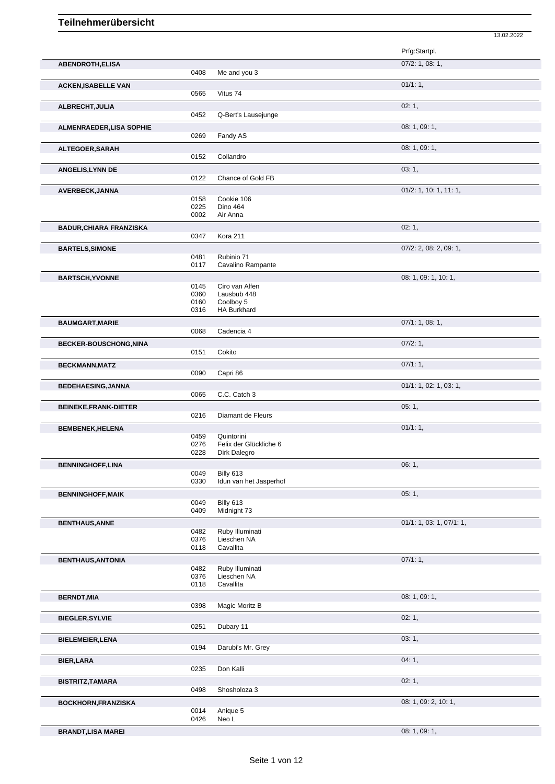|                                 |              |                                      | Prfg:Startpl.            |
|---------------------------------|--------------|--------------------------------------|--------------------------|
| <b>ABENDROTH,ELISA</b>          |              |                                      | $07/2$ : 1, 08: 1,       |
|                                 | 0408         | Me and you 3                         |                          |
| <b>ACKEN, ISABELLE VAN</b>      |              |                                      | 01/1:1,                  |
|                                 | 0565         | Vitus 74                             |                          |
| ALBRECHT, JULIA                 |              |                                      | 02:1,                    |
|                                 | 0452         | Q-Bert's Lausejunge                  |                          |
| <b>ALMENRAEDER, LISA SOPHIE</b> | 0269         | Fandy AS                             | 08: 1, 09: 1,            |
|                                 |              |                                      |                          |
| ALTEGOER, SARAH                 | 0152         | Collandro                            | 08: 1, 09: 1,            |
|                                 |              |                                      | 03:1,                    |
| <b>ANGELIS, LYNN DE</b>         | 0122         | Chance of Gold FB                    |                          |
| AVERBECK, JANNA                 |              |                                      | 01/2: 1, 10: 1, 11: 1,   |
|                                 | 0158         | Cookie 106                           |                          |
|                                 | 0225         | <b>Dino 464</b>                      |                          |
|                                 | 0002         | Air Anna                             |                          |
| <b>BADUR, CHIARA FRANZISKA</b>  | 0347         | Kora 211                             | 02:1,                    |
|                                 |              |                                      |                          |
| <b>BARTELS, SIMONE</b>          | 0481         | Rubinio 71                           | 07/2: 2, 08: 2, 09: 1,   |
|                                 | 0117         | Cavalino Rampante                    |                          |
| <b>BARTSCH, YVONNE</b>          |              |                                      | 08: 1, 09: 1, 10: 1,     |
|                                 | 0145         | Ciro van Alfen                       |                          |
|                                 | 0360         | Lausbub 448                          |                          |
|                                 | 0160<br>0316 | Coolboy 5<br><b>HA Burkhard</b>      |                          |
| <b>BAUMGART, MARIE</b>          |              |                                      | 07/1: 1, 08: 1,          |
|                                 | 0068         | Cadencia 4                           |                          |
| <b>BECKER-BOUSCHONG, NINA</b>   |              |                                      | 07/2:1,                  |
|                                 | 0151         | Cokito                               |                          |
| <b>BECKMANN, MATZ</b>           |              |                                      | 07/1:1,                  |
|                                 | 0090         | Capri 86                             |                          |
| <b>BEDEHAESING, JANNA</b>       |              |                                      | 01/1: 1, 02: 1, 03: 1,   |
|                                 | 0065         | C.C. Catch 3                         |                          |
| <b>BEINEKE, FRANK-DIETER</b>    |              |                                      | 05:1,                    |
|                                 | 0216         | Diamant de Fleurs                    |                          |
| <b>BEMBENEK, HELENA</b>         |              |                                      | 01/1:1,                  |
|                                 | 0459<br>0276 | Quintorini<br>Felix der Glückliche 6 |                          |
|                                 | 0228         | Dirk Dalegro                         |                          |
| <b>BENNINGHOFF, LINA</b>        |              |                                      | 06:1,                    |
|                                 | 0049         | Billy 613                            |                          |
|                                 | 0330         | Idun van het Jasperhof               |                          |
| <b>BENNINGHOFF, MAIK</b>        | 0049         | Billy 613                            | 05:1,                    |
|                                 | 0409         | Midnight 73                          |                          |
| <b>BENTHAUS, ANNE</b>           |              |                                      | 01/1: 1, 03: 1, 07/1: 1, |
|                                 | 0482         | Ruby Illuminati                      |                          |
|                                 | 0376         | Lieschen NA<br>Cavallita             |                          |
|                                 | 0118         |                                      |                          |
| <b>BENTHAUS, ANTONIA</b>        | 0482         | Ruby Illuminati                      | 07/1:1,                  |
|                                 | 0376         | Lieschen NA                          |                          |
|                                 | 0118         | Cavallita                            |                          |
| <b>BERNDT, MIA</b>              |              |                                      | 08: 1, 09: 1,            |
|                                 | 0398         | Magic Moritz B                       |                          |
| <b>BIEGLER, SYLVIE</b>          |              |                                      | 02:1,                    |
|                                 | 0251         | Dubary 11                            |                          |
| <b>BIELEMEIER, LENA</b>         |              |                                      | 03:1,                    |
|                                 | 0194         | Darubi's Mr. Grey                    |                          |
| <b>BIER, LARA</b>               |              |                                      | 04:1,                    |
|                                 | 0235         | Don Kalli                            |                          |
| <b>BISTRITZ, TAMARA</b>         | 0498         | Shosholoza 3                         | 02:1,                    |
|                                 |              |                                      |                          |
| <b>BOCKHORN, FRANZISKA</b>      | 0014         | Anique 5                             | 08: 1, 09: 2, 10: 1,     |
|                                 | 0426         | Neo L                                |                          |

13.02.2022

**BRANDT,LISA MAREI** 08: 1, 09: 1,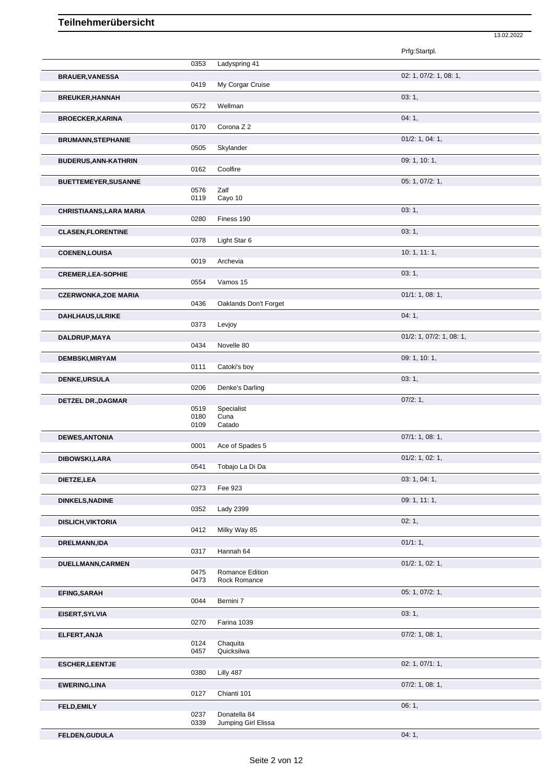|                             |              |                                 | Prfg:Startpl.            |
|-----------------------------|--------------|---------------------------------|--------------------------|
|                             | 0353         | Ladyspring 41                   |                          |
| <b>BRAUER, VANESSA</b>      |              |                                 | 02: 1, 07/2: 1, 08: 1,   |
|                             | 0419         | My Corgar Cruise                |                          |
| <b>BREUKER, HANNAH</b>      |              |                                 | 03:1,                    |
|                             | 0572         | Wellman                         |                          |
| <b>BROECKER, KARINA</b>     |              |                                 | 04:1,                    |
|                             | 0170         | Corona Z 2                      |                          |
| <b>BRUMANN, STEPHANIE</b>   | 0505         | Skylander                       | 01/2: 1, 04: 1,          |
| <b>BUDERUS, ANN-KATHRIN</b> |              |                                 | 09: 1, 10: 1,            |
|                             | 0162         | Coolfire                        |                          |
| <b>BUETTEMEYER, SUSANNE</b> |              |                                 | 05: 1, 07/2: 1,          |
|                             | 0576<br>0119 | Zalf<br>Cayo 10                 |                          |
| CHRISTIAANS, LARA MARIA     |              |                                 | 03:1,                    |
|                             | 0280         | Finess 190                      |                          |
| <b>CLASEN, FLORENTINE</b>   |              |                                 | 03:1,                    |
|                             | 0378         | Light Star 6                    |                          |
| <b>COENEN, LOUISA</b>       |              |                                 | 10: 1, 11: 1,            |
|                             | 0019         | Archevia                        |                          |
| <b>CREMER, LEA-SOPHIE</b>   | 0554         | Vamos 15                        | 03:1,                    |
|                             |              |                                 |                          |
| <b>CZERWONKA, ZOE MARIA</b> | 0436         | Oaklands Don't Forget           | 01/1: 1, 08: 1,          |
| <b>DAHLHAUS, ULRIKE</b>     |              |                                 | 04:1,                    |
|                             | 0373         | Levjoy                          |                          |
| DALDRUP, MAYA               |              |                                 | 01/2: 1, 07/2: 1, 08: 1, |
|                             | 0434         | Novelle 80                      |                          |
| <b>DEMBSKI, MIRYAM</b>      |              |                                 | 09: 1, 10: 1,            |
|                             | 0111         | Catoki's boy                    |                          |
| DENKE, URSULA               | 0206         | Denke's Darling                 | 03:1,                    |
|                             |              |                                 | 07/2:1,                  |
| <b>DETZEL DR., DAGMAR</b>   | 0519         | Specialist                      |                          |
|                             | 0180<br>0109 | Cuna<br>Catado                  |                          |
|                             |              |                                 | 07/1: 1, 08: 1,          |
| <b>DEWES, ANTONIA</b>       | 0001         | Ace of Spades 5                 |                          |
| DIBOWSKI, LARA              |              |                                 | 01/2: 1, 02: 1,          |
|                             | 0541         | Tobajo La Di Da                 |                          |
| DIETZE, LEA                 |              |                                 | 03: 1, 04: 1,            |
|                             | 0273         | Fee 923                         |                          |
| <b>DINKELS, NADINE</b>      | 0352         | Lady 2399                       | 09: 1, 11: 1,            |
| <b>DISLICH, VIKTORIA</b>    |              |                                 | 02:1,                    |
|                             | 0412         | Milky Way 85                    |                          |
| <b>DRELMANN,IDA</b>         |              |                                 | 01/1:1,                  |
|                             | 0317         | Hannah 64                       |                          |
| DUELLMANN, CARMEN           |              |                                 | $01/2$ : 1, 02: 1,       |
|                             | 0475<br>0473 | Romance Edition<br>Rock Romance |                          |
| <b>EFING, SARAH</b>         |              |                                 | 05: 1, 07/2: 1,          |
|                             | 0044         | Bernini 7                       |                          |
| EISERT, SYLVIA              |              |                                 | 03:1,                    |
|                             | 0270         | Farina 1039                     |                          |
| ELFERT, ANJA                | 0124         |                                 | $07/2$ : 1, 08: 1,       |
|                             | 0457         | Chaquita<br>Quicksilwa          |                          |
| <b>ESCHER, LEENTJE</b>      |              |                                 | 02: 1, 07/1: 1,          |
|                             | 0380         | Lilly 487                       |                          |
| <b>EWERING, LINA</b>        |              |                                 | $07/2$ : 1, 08: 1,       |
|                             | 0127         | Chianti 101                     |                          |
| FELD, EMILY                 | 0237         | Donatella 84                    | 06:1,                    |
|                             | 0339         | Jumping Girl Elissa             |                          |

13.02.2022

**FELDEN,GUDULA** 04: 1,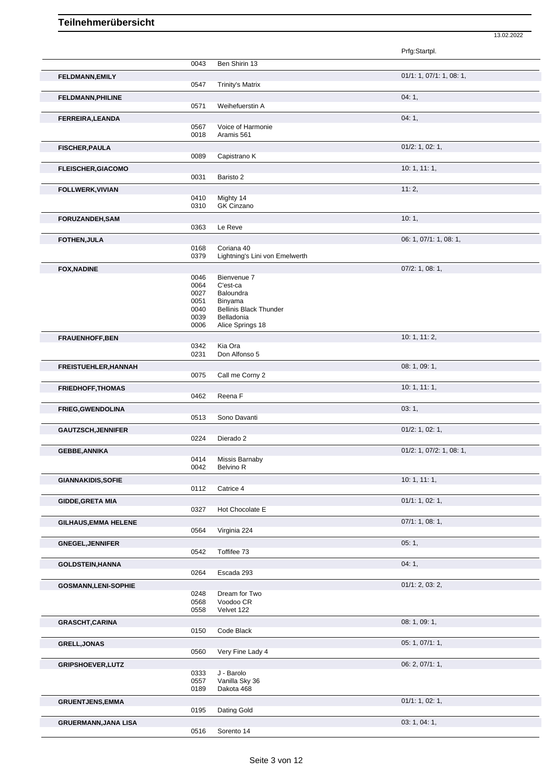|                             |              |                                             | 13.02.2022               |
|-----------------------------|--------------|---------------------------------------------|--------------------------|
|                             |              |                                             | Prfg:Startpl.            |
|                             | 0043         | Ben Shirin 13                               |                          |
| <b>FELDMANN, EMILY</b>      | 0547         | <b>Trinity's Matrix</b>                     | 01/1: 1, 07/1: 1, 08: 1, |
| <b>FELDMANN, PHILINE</b>    |              |                                             | 04:1,                    |
|                             | 0571         | Weihefuerstin A                             |                          |
| FERREIRA, LEANDA            | 0567         | Voice of Harmonie                           | 04:1,                    |
|                             | 0018         | Aramis 561                                  |                          |
| <b>FISCHER, PAULA</b>       | 0089         | Capistrano K                                | $01/2$ : 1, 02: 1,       |
| <b>FLEISCHER, GIACOMO</b>   |              |                                             | 10:1, 11:1,              |
| FOLLWERK, VIVIAN            | 0031         | Baristo 2                                   | 11:2,                    |
|                             | 0410         | Mighty 14                                   |                          |
| <b>FORUZANDEH,SAM</b>       | 0310         | GK Cinzano                                  | 10:1,                    |
|                             | 0363         | Le Reve                                     |                          |
| <b>FOTHEN, JULA</b>         | 0168         | Coriana 40                                  | 06: 1, 07/1: 1, 08: 1,   |
|                             | 0379         | Lightning's Lini von Emelwerth              |                          |
| <b>FOX, NADINE</b>          | 0046         | Bienvenue 7                                 | $07/2$ : 1, 08: 1,       |
|                             | 0064<br>0027 | C'est-ca<br>Baloundra                       |                          |
|                             | 0051         | Binyama                                     |                          |
|                             | 0040<br>0039 | <b>Bellinis Black Thunder</b><br>Belladonia |                          |
|                             | 0006         | Alice Springs 18                            |                          |
| <b>FRAUENHOFF, BEN</b>      | 0342         | Kia Ora                                     | 10: 1, 11: 2,            |
|                             | 0231         | Don Alfonso 5                               |                          |
| <b>FREISTUEHLER, HANNAH</b> | 0075         | Call me Corny 2                             | 08: 1, 09: 1,            |
| <b>FRIEDHOFF, THOMAS</b>    |              |                                             | 10:1, 11:1,              |
| FRIEG, GWENDOLINA           | 0462         | Reena F                                     | 03:1,                    |
|                             | 0513         | Sono Davanti                                |                          |
| <b>GAUTZSCH, JENNIFER</b>   | 0224         | Dierado 2                                   | $01/2$ : 1, 02: 1,       |
| <b>GEBBE, ANNIKA</b>        |              |                                             | 01/2: 1, 07/2: 1, 08: 1, |
|                             | 0414<br>0042 | Missis Barnaby<br>Belvino R                 |                          |
| <b>GIANNAKIDIS, SOFIE</b>   |              |                                             | 10: 1, 11: 1,            |
| <b>GIDDE, GRETA MIA</b>     | 0112         | Catrice 4                                   | 01/1: 1, 02: 1,          |
|                             | 0327         | Hot Chocolate E                             |                          |
| <b>GILHAUS, EMMA HELENE</b> | 0564         | Virginia 224                                | 07/1: 1, 08: 1,          |
| <b>GNEGEL, JENNIFER</b>     |              |                                             | 05:1,                    |
|                             | 0542         | Toffifee 73                                 |                          |
| <b>GOLDSTEIN, HANNA</b>     | 0264         | Escada 293                                  | 04:1,                    |
| <b>GOSMANN,LENI-SOPHIE</b>  |              |                                             | 01/1: 2, 03: 2,          |
|                             | 0248<br>0568 | Dream for Two<br>Voodoo CR                  |                          |
|                             | 0558         | Velvet 122                                  | 08: 1, 09: 1,            |
| <b>GRASCHT, CARINA</b>      | 0150         | Code Black                                  |                          |
| <b>GRELL, JONAS</b>         |              |                                             | 05: 1, 07/1: 1,          |
| <b>GRIPSHOEVER, LUTZ</b>    | 0560         | Very Fine Lady 4                            | 06: 2, 07/1: 1,          |
|                             | 0333         | J - Barolo                                  |                          |
|                             | 0557<br>0189 | Vanilla Sky 36<br>Dakota 468                |                          |
| <b>GRUENTJENS, EMMA</b>     | 0195         | Dating Gold                                 | 01/1: 1, 02: 1,          |
| <b>GRUERMANN, JANA LISA</b> |              |                                             | 03: 1, 04: 1,            |
|                             | 0516         | Sorento 14                                  |                          |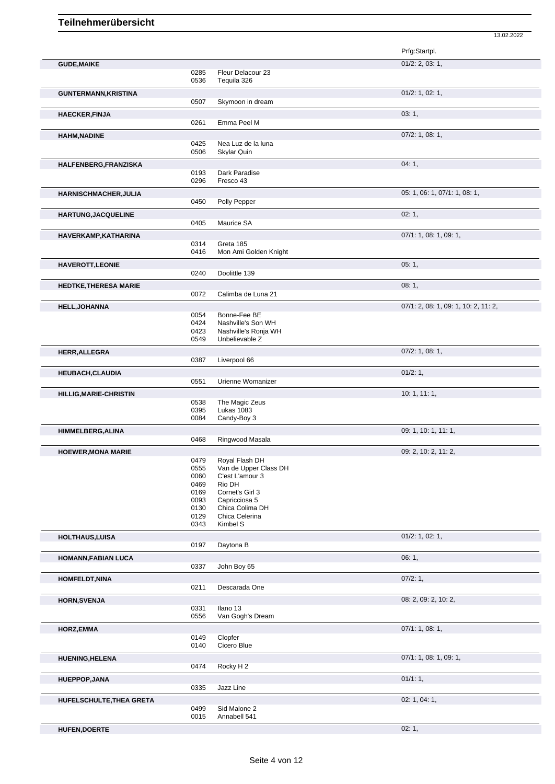|                               |              |                                        | Prfg:Startpl.                        |
|-------------------------------|--------------|----------------------------------------|--------------------------------------|
|                               |              |                                        | 01/2: 2, 03: 1,                      |
| <b>GUDE, MAIKE</b>            | 0285         | Fleur Delacour 23                      |                                      |
|                               | 0536         | Tequila 326                            |                                      |
|                               |              |                                        | $01/2$ : 1, 02: 1,                   |
| <b>GUNTERMANN, KRISTINA</b>   | 0507         | Skymoon in dream                       |                                      |
|                               |              |                                        |                                      |
| <b>HAECKER, FINJA</b>         |              |                                        | 03:1,                                |
|                               | 0261         | Emma Peel M                            |                                      |
| <b>HAHM, NADINE</b>           |              |                                        | $07/2$ : 1, 08: 1,                   |
|                               | 0425         | Nea Luz de la luna                     |                                      |
|                               | 0506         | <b>Skylar Quin</b>                     |                                      |
| HALFENBERG, FRANZISKA         |              |                                        | 04:1,                                |
|                               | 0193         | Dark Paradise                          |                                      |
|                               | 0296         | Fresco 43                              |                                      |
| <b>HARNISCHMACHER, JULIA</b>  |              |                                        | 05: 1, 06: 1, 07/1: 1, 08: 1,        |
|                               | 0450         | Polly Pepper                           |                                      |
| <b>HARTUNG, JACQUELINE</b>    |              |                                        | 02:1,                                |
|                               | 0405         | Maurice SA                             |                                      |
|                               |              |                                        |                                      |
| HAVERKAMP, KATHARINA          | 0314         | Greta 185                              | 07/1: 1, 08: 1, 09: 1,               |
|                               | 0416         | Mon Ami Golden Knight                  |                                      |
|                               |              |                                        |                                      |
| <b>HAVEROTT, LEONIE</b>       | 0240         | Doolittle 139                          | 05:1,                                |
|                               |              |                                        |                                      |
| <b>HEDTKE, THERESA MARIE</b>  |              |                                        | 08:1,                                |
|                               | 0072         | Calimba de Luna 21                     |                                      |
| <b>HELL, JOHANNA</b>          |              |                                        | 07/1: 2, 08: 1, 09: 1, 10: 2, 11: 2, |
|                               | 0054         | Bonne-Fee BE                           |                                      |
|                               | 0424         | Nashville's Son WH                     |                                      |
|                               | 0423         | Nashville's Ronja WH<br>Unbelievable Z |                                      |
|                               | 0549         |                                        |                                      |
| HERR, ALLEGRA                 |              |                                        | 07/2: 1, 08: 1,                      |
|                               | 0387         | Liverpool 66                           |                                      |
| <b>HEUBACH, CLAUDIA</b>       |              |                                        | 01/2:1,                              |
|                               | 0551         | Urienne Womanizer                      |                                      |
| <b>HILLIG, MARIE-CHRISTIN</b> |              |                                        | 10:1, 11:1,                          |
|                               | 0538         | The Magic Zeus                         |                                      |
|                               | 0395         | Lukas 1083                             |                                      |
|                               | 0084         | Candy-Boy 3                            |                                      |
| <b>HIMMELBERG, ALINA</b>      |              |                                        | 09: 1, 10: 1, 11: 1,                 |
|                               | 0468         | Ringwood Masala                        |                                      |
| <b>HOEWER, MONA MARIE</b>     |              |                                        | 09: 2, 10: 2, 11: 2,                 |
|                               | 0479         | Royal Flash DH                         |                                      |
|                               | 0555         | Van de Upper Class DH                  |                                      |
|                               | 0060         | C'est L'amour 3                        |                                      |
|                               | 0469         | Rio DH                                 |                                      |
|                               | 0169         | Cornet's Girl 3                        |                                      |
|                               | 0093<br>0130 | Capricciosa 5<br>Chica Colima DH       |                                      |
|                               | 0129         | Chica Celerina                         |                                      |
|                               | 0343         | Kimbel S                               |                                      |
| HOLTHAUS, LUISA               |              |                                        | 01/2: 1, 02: 1,                      |
|                               | 0197         | Daytona B                              |                                      |
|                               |              |                                        |                                      |
| HOMANN, FABIAN LUCA           |              |                                        | 06:1,                                |
|                               | 0337         | John Boy 65                            |                                      |
| <b>HOMFELDT, NINA</b>         |              |                                        | 07/2:1,                              |
|                               | 0211         | Descarada One                          |                                      |
| <b>HORN, SVENJA</b>           |              |                                        | 08: 2, 09: 2, 10: 2,                 |
|                               | 0331         | Ilano 13                               |                                      |
|                               | 0556         | Van Gogh's Dream                       |                                      |
| <b>HORZ,EMMA</b>              |              |                                        | 07/1: 1, 08: 1,                      |
|                               | 0149         | Clopfer                                |                                      |
|                               | 0140         | Cicero Blue                            |                                      |
| <b>HUENING, HELENA</b>        |              |                                        | 07/1: 1, 08: 1, 09: 1,               |
|                               | 0474         | Rocky H <sub>2</sub>                   |                                      |
|                               |              |                                        |                                      |
| <b>HUEPPOP, JANA</b>          |              |                                        | 01/1:1,                              |
|                               | 0335         | Jazz Line                              |                                      |
| HUFELSCHULTE, THEA GRETA      |              |                                        | 02: 1, 04: 1,                        |
|                               | 0499         | Sid Malone 2                           |                                      |
|                               | 0015         | Annabell 541                           |                                      |

13.02.2022

**HUFEN,DOERTE** 02: 1,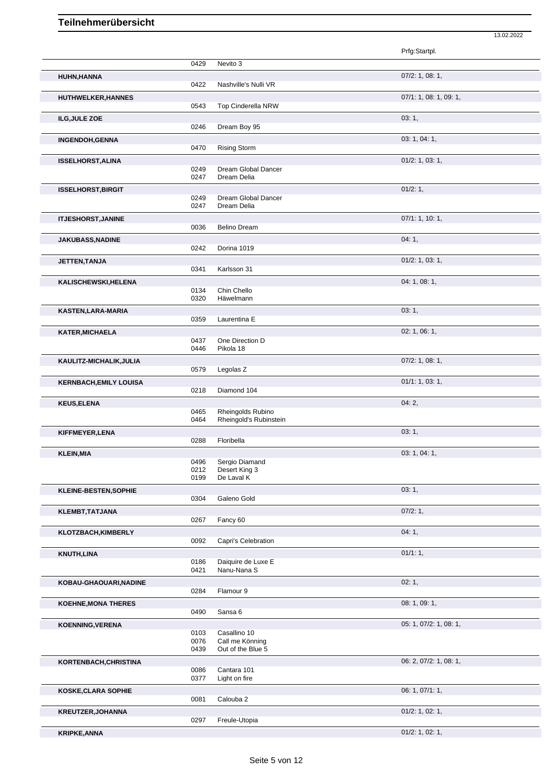|                               |              |                                      | Prfg:Startpl.          |
|-------------------------------|--------------|--------------------------------------|------------------------|
|                               | 0429         | Nevito 3                             |                        |
| HUHN, HANNA                   | 0422         | Nashville's Nulli VR                 | $07/2$ : 1, 08: 1,     |
| <b>HUTHWELKER, HANNES</b>     |              |                                      | 07/1: 1, 08: 1, 09: 1, |
|                               | 0543         | <b>Top Cinderella NRW</b>            |                        |
| <b>ILG, JULE ZOE</b>          |              |                                      | 03:1,                  |
|                               | 0246         | Dream Boy 95                         |                        |
| <b>INGENDOH, GENNA</b>        | 0470         | <b>Rising Storm</b>                  | 03: 1, 04: 1,          |
| <b>ISSELHORST, ALINA</b>      |              |                                      | 01/2: 1, 03: 1,        |
|                               | 0249<br>0247 | Dream Global Dancer<br>Dream Delia   |                        |
| <b>ISSELHORST, BIRGIT</b>     |              |                                      | 01/2:1,                |
|                               | 0249<br>0247 | Dream Global Dancer<br>Dream Delia   |                        |
|                               |              |                                      |                        |
| <b>ITJESHORST, JANINE</b>     | 0036         | <b>Belino Dream</b>                  | 07/1: 1, 10: 1,        |
|                               |              |                                      |                        |
| <b>JAKUBASS, NADINE</b>       | 0242         | Dorina 1019                          | 04:1,                  |
|                               |              |                                      |                        |
| JETTEN, TANJA                 | 0341         | Karlsson 31                          | 01/2: 1, 03: 1,        |
|                               |              |                                      | 04: 1, 08: 1,          |
| KALISCHEWSKI, HELENA          | 0134         | Chin Chello                          |                        |
|                               | 0320         | Häwelmann                            |                        |
| KASTEN, LARA-MARIA            |              |                                      | 03:1,                  |
|                               | 0359         | Laurentina E                         |                        |
| <b>KATER, MICHAELA</b>        |              |                                      | 02: 1, 06: 1,          |
|                               | 0437         | One Direction D                      |                        |
|                               | 0446         | Pikola 18                            |                        |
| KAULITZ-MICHALIK, JULIA       |              |                                      | $07/2$ : 1, 08: 1,     |
|                               | 0579         | Legolas <sub>Z</sub>                 |                        |
| <b>KERNBACH, EMILY LOUISA</b> | 0218         | Diamond 104                          | 01/1: 1, 03: 1,        |
|                               |              |                                      |                        |
| <b>KEUS, ELENA</b>            | 0465         | Rheingolds Rubino                    | 04:2,                  |
|                               | 0464         | Rheingold's Rubinstein               |                        |
| KIFFMEYER, LENA               |              |                                      | 03:1,                  |
|                               | 0288         | Floribella                           |                        |
| <b>KLEIN, MIA</b>             |              |                                      | 03: 1, 04: 1,          |
|                               | 0496         | Sergio Diamand                       |                        |
|                               | 0212<br>0199 | Desert King 3<br>De Laval K          |                        |
|                               |              |                                      |                        |
| KLEINE-BESTEN, SOPHIE         | 0304         | Galeno Gold                          | 03:1,                  |
|                               |              |                                      | 07/2:1,                |
| <b>KLEMBT, TATJANA</b>        | 0267         | Fancy 60                             |                        |
| KLOTZBACH, KIMBERLY           |              |                                      | 04:1,                  |
|                               | 0092         | Capri's Celebration                  |                        |
| <b>KNUTH, LINA</b>            |              |                                      | 01/1:1,                |
|                               | 0186         | Daiquire de Luxe E                   |                        |
|                               | 0421         | Nanu-Nana S                          |                        |
| KOBAU-GHAOUARI, NADINE        |              |                                      | 02:1,                  |
|                               | 0284         | Flamour 9                            |                        |
| <b>KOEHNE, MONA THERES</b>    |              |                                      | 08: 1, 09: 1,          |
|                               | 0490         | Sansa 6                              |                        |
| <b>KOENNING, VERENA</b>       |              |                                      | 05: 1, 07/2: 1, 08: 1, |
|                               | 0103         | Casallino 10                         |                        |
|                               | 0076<br>0439 | Call me Könning<br>Out of the Blue 5 |                        |
|                               |              |                                      | 06: 2, 07/2: 1, 08: 1, |
| KORTENBACH, CHRISTINA         | 0086         | Cantara 101                          |                        |
|                               | 0377         | Light on fire                        |                        |
| <b>KOSKE, CLARA SOPHIE</b>    |              |                                      | 06: 1, 07/1: 1,        |
|                               | 0081         | Calouba 2                            |                        |
| KREUTZER, JOHANNA             |              |                                      | $01/2$ : 1, 02: 1,     |
|                               | 0297         | Freule-Utopia                        |                        |
| <b>KRIPKE, ANNA</b>           |              |                                      | $01/2$ : 1, 02: 1,     |

13.02.2022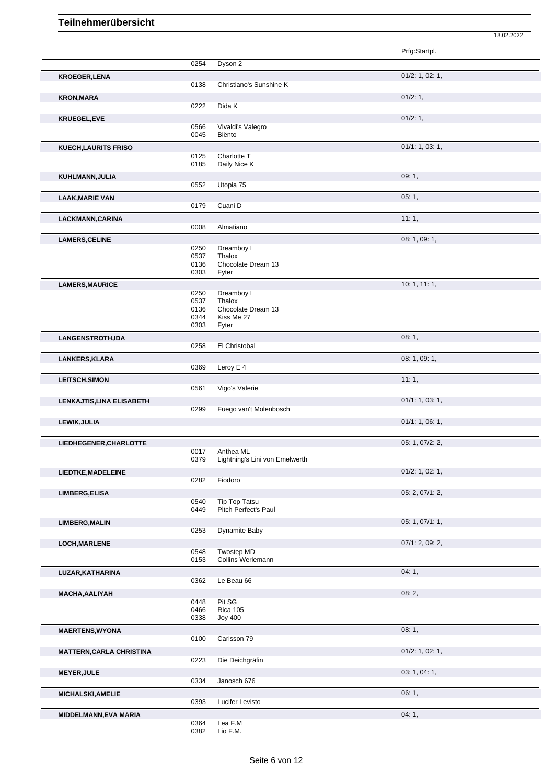|                                  |              |                                  | 13.02.2022         |  |
|----------------------------------|--------------|----------------------------------|--------------------|--|
|                                  |              |                                  | Prfg:Startpl.      |  |
|                                  | 0254         | Dyson 2                          |                    |  |
| <b>KROEGER, LENA</b>             | 0138         | Christiano's Sunshine K          | $01/2$ : 1, 02: 1, |  |
| <b>KRON, MARA</b>                |              |                                  | 01/2:1,            |  |
|                                  | 0222         | Dida K                           |                    |  |
| <b>KRUEGEL,EVE</b>               |              |                                  | 01/2:1,            |  |
|                                  | 0566<br>0045 | Vivaldi's Valegro<br>Biënto      |                    |  |
| <b>KUECH, LAURITS FRISO</b>      |              |                                  | 01/1: 1, 03: 1,    |  |
|                                  | 0125         | Charlotte T                      |                    |  |
|                                  | 0185         | Daily Nice K                     | 09:1,              |  |
| KUHLMANN, JULIA                  | 0552         | Utopia 75                        |                    |  |
| <b>LAAK, MARIE VAN</b>           |              |                                  | 05:1,              |  |
|                                  | 0179         | Cuani D                          |                    |  |
| LACKMANN, CARINA                 | 0008         | Almatiano                        | 11:1,              |  |
|                                  |              |                                  | 08: 1, 09: 1,      |  |
| <b>LAMERS, CELINE</b>            | 0250         | Dreamboy L                       |                    |  |
|                                  | 0537<br>0136 | Thalox<br>Chocolate Dream 13     |                    |  |
|                                  | 0303         | Fyter                            |                    |  |
| <b>LAMERS, MAURICE</b>           |              |                                  | 10: 1, 11: 1,      |  |
|                                  | 0250<br>0537 | Dreamboy L<br>Thalox             |                    |  |
|                                  | 0136<br>0344 | Chocolate Dream 13<br>Kiss Me 27 |                    |  |
|                                  | 0303         | Fyter                            |                    |  |
| LANGENSTROTH,IDA                 |              |                                  | 08:1,              |  |
|                                  | 0258         | El Christobal                    |                    |  |
| LANKERS, KLARA                   | 0369         | Leroy E 4                        | 08: 1, 09: 1,      |  |
| <b>LEITSCH, SIMON</b>            |              |                                  | 11:1,              |  |
|                                  | 0561         | Vigo's Valerie                   |                    |  |
| <b>LENKAJTIS, LINA ELISABETH</b> | 0299         | Fuego van't Molenbosch           | 01/1: 1, 03: 1,    |  |
| LEWIK, JULIA                     |              |                                  | 01/1: 1, 06: 1,    |  |
|                                  |              |                                  |                    |  |
| LIEDHEGENER, CHARLOTTE           | 0017         | Anthea ML                        | 05: 1, 07/2: 2,    |  |
|                                  | 0379         | Lightning's Lini von Emelwerth   |                    |  |
| LIEDTKE, MADELEINE               | 0282         | Fiodoro                          | $01/2$ : 1, 02: 1, |  |
| <b>LIMBERG, ELISA</b>            |              |                                  | 05: 2, 07/1: 2,    |  |
|                                  | 0540         | Tip Top Tatsu                    |                    |  |
|                                  | 0449         | Pitch Perfect's Paul             |                    |  |
| <b>LIMBERG, MALIN</b>            | 0253         | Dynamite Baby                    | 05: 1, 07/1: 1,    |  |
| LOCH, MARLENE                    |              |                                  | 07/1: 2, 09: 2,    |  |
|                                  | 0548         | Twostep MD                       |                    |  |
|                                  | 0153         | Collins Werlemann                |                    |  |
| LUZAR, KATHARINA                 | 0362         | Le Beau 66                       | 04:1,              |  |
| <b>MACHA, AALIYAH</b>            |              |                                  | 08:2,              |  |
|                                  | 0448<br>0466 | Pit SG<br><b>Rica 105</b>        |                    |  |
|                                  | 0338         | <b>Joy 400</b>                   |                    |  |
| <b>MAERTENS, WYONA</b>           |              |                                  | 08:1,              |  |
|                                  | 0100         | Carlsson 79                      |                    |  |
| <b>MATTERN, CARLA CHRISTINA</b>  | 0223         | Die Deichgräfin                  | $01/2$ : 1, 02: 1, |  |
| <b>MEYER, JULE</b>               |              |                                  | 03: 1, 04: 1,      |  |
|                                  | 0334         | Janosch 676                      |                    |  |
| <b>MICHALSKI, AMELIE</b>         |              |                                  | 06:1,              |  |
|                                  | 0393         | Lucifer Levisto                  | 04:1,              |  |
| <b>MIDDELMANN, EVA MARIA</b>     | 0364         | Lea F.M                          |                    |  |

0382 Lio F.M.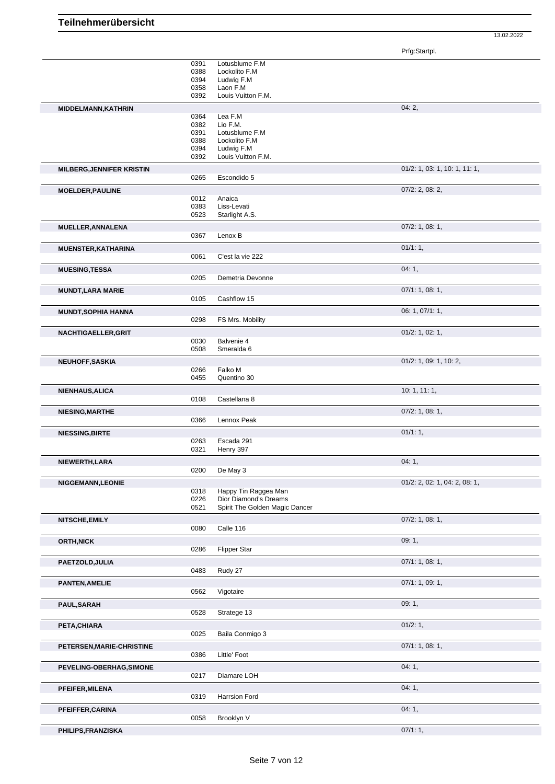Prfg:Startpl.

13.02.2022

|                                  | 0391<br>0388<br>0394<br>0358<br>0392         | Lotusblume F.M<br>Lockolito F.M<br>Ludwig F.M<br>Laon F.M<br>Louis Vuitton F.M.            |                                  |
|----------------------------------|----------------------------------------------|--------------------------------------------------------------------------------------------|----------------------------------|
| MIDDELMANN, KATHRIN              |                                              |                                                                                            | 04:2,                            |
|                                  | 0364<br>0382<br>0391<br>0388<br>0394<br>0392 | Lea F.M<br>Lio F.M.<br>Lotusblume F.M<br>Lockolito F.M<br>Ludwig F.M<br>Louis Vuitton F.M. |                                  |
| <b>MILBERG, JENNIFER KRISTIN</b> |                                              |                                                                                            | 01/2: 1, 03: 1, 10: 1, 11: 1,    |
|                                  | 0265                                         | Escondido 5                                                                                |                                  |
| <b>MOELDER, PAULINE</b>          |                                              |                                                                                            | $07/2$ : 2, 08: 2,               |
|                                  | 0012<br>0383<br>0523                         | Anaica<br>Liss-Levati<br>Starlight A.S.                                                    |                                  |
| MUELLER, ANNALENA                |                                              |                                                                                            | $07/2$ : 1, 08: 1,               |
|                                  | 0367                                         | Lenox B                                                                                    |                                  |
| <b>MUENSTER, KATHARINA</b>       |                                              |                                                                                            | 01/1:1,                          |
|                                  | 0061                                         | C'est la vie 222                                                                           |                                  |
| <b>MUESING, TESSA</b>            |                                              |                                                                                            | 04:1,                            |
|                                  | 0205                                         | Demetria Devonne                                                                           |                                  |
| <b>MUNDT, LARA MARIE</b>         |                                              |                                                                                            | 07/1: 1, 08: 1,                  |
|                                  | 0105                                         | Cashflow 15                                                                                |                                  |
| <b>MUNDT, SOPHIA HANNA</b>       |                                              |                                                                                            | 06: 1, 07/1: 1,                  |
|                                  | 0298                                         | FS Mrs. Mobility                                                                           |                                  |
| NACHTIGAELLER, GRIT              |                                              |                                                                                            | $01/2$ : 1, 02: 1,               |
|                                  | 0030                                         | Balvenie 4                                                                                 |                                  |
|                                  | 0508                                         | Smeralda 6                                                                                 |                                  |
| NEUHOFF, SASKIA                  |                                              |                                                                                            | 01/2: 1, 09: 1, 10: 2,           |
|                                  | 0266                                         | Falko M                                                                                    |                                  |
|                                  | 0455                                         | Quentino 30                                                                                |                                  |
| <b>NIENHAUS, ALICA</b>           | 0108                                         | Castellana 8                                                                               | 10: 1, 11: 1,                    |
| <b>NIESING, MARTHE</b>           |                                              |                                                                                            | 07/2: 1, 08: 1,                  |
|                                  | 0366                                         | Lennox Peak                                                                                |                                  |
| <b>NIESSING, BIRTE</b>           | 0263<br>0321                                 | Escada 291<br>Henry 397                                                                    | 01/1:1,                          |
| NIEWERTH, LARA                   | 0200                                         | De May 3                                                                                   | 04:1,                            |
| <b>NIGGEMANN,LEONIE</b>          |                                              |                                                                                            | $01/2$ : 2, 02: 1, 04: 2, 08: 1, |
|                                  | 0318<br>0226<br>0521                         | Happy Tin Raggea Man<br>Dior Diamond's Dreams<br>Spirit The Golden Magic Dancer            |                                  |
| NITSCHE, EMILY                   | 0080                                         | Calle 116                                                                                  | 07/2: 1, 08: 1,                  |
| <b>ORTH, NICK</b>                |                                              |                                                                                            | 09:1,                            |
|                                  | 0286                                         | Flipper Star                                                                               |                                  |
| PAETZOLD, JULIA                  | 0483                                         | Rudy 27                                                                                    | 07/1: 1, 08: 1,                  |
| <b>PANTEN, AMELIE</b>            |                                              |                                                                                            | 07/1: 1, 09: 1,                  |
|                                  | 0562                                         | Vigotaire                                                                                  |                                  |
| <b>PAUL, SARAH</b>               | 0528                                         | Stratege 13                                                                                | 09:1,                            |
| PETA, CHIARA                     |                                              |                                                                                            | 01/2: 1,                         |
|                                  | 0025                                         | Baila Conmigo 3                                                                            |                                  |
| PETERSEN, MARIE-CHRISTINE        | 0386                                         | Little' Foot                                                                               | 07/1: 1, 08: 1,                  |
| PEVELING-OBERHAG, SIMONE         |                                              |                                                                                            | 04:1,                            |
|                                  | 0217                                         | Diamare LOH                                                                                |                                  |
| PFEIFER, MILENA                  | 0319                                         | Harrsion Ford                                                                              | 04:1,                            |
| PFEIFFER, CARINA                 |                                              |                                                                                            | 04:1,                            |
|                                  | 0058                                         | Brooklyn V                                                                                 |                                  |
|                                  |                                              |                                                                                            | 07/1:1,                          |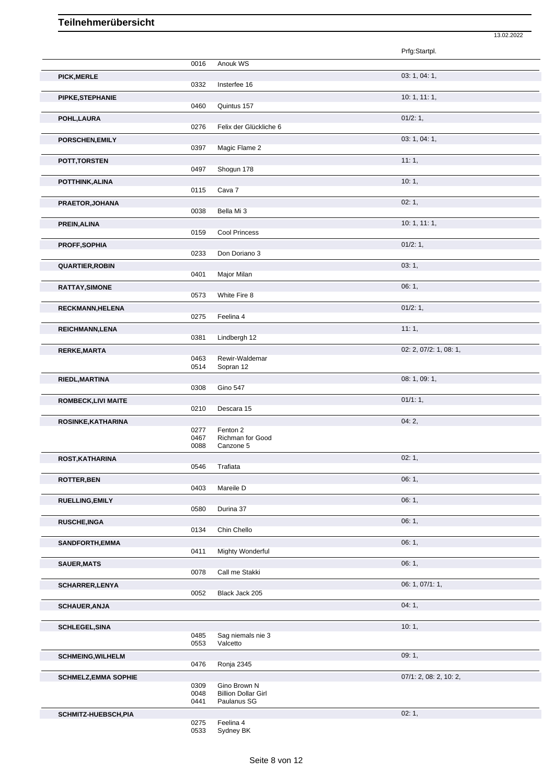|                             |              |                                           | Prfg:Startpl.          |
|-----------------------------|--------------|-------------------------------------------|------------------------|
|                             | 0016         | Anouk WS                                  |                        |
| <b>PICK, MERLE</b>          | 0332         | Insterfee 16                              | 03: 1, 04: 1,          |
| PIPKE, STEPHANIE            |              |                                           | 10:1, 11:1,            |
|                             | 0460         | Quintus 157                               | 01/2:1,                |
| POHL, LAURA                 | 0276         | Felix der Glückliche 6                    |                        |
| PORSCHEN, EMILY             |              |                                           | 03: 1, 04: 1,          |
|                             | 0397         | Magic Flame 2                             | 11:1,                  |
| POTT, TORSTEN               | 0497         | Shogun 178                                |                        |
| POTTHINK, ALINA             |              |                                           | 10:1,                  |
|                             | 0115         | Cava 7                                    | 02:1,                  |
| PRAETOR, JOHANA             | 0038         | Bella Mi 3                                |                        |
| PREIN, ALINA                |              |                                           | 10:1, 11:1,            |
|                             | 0159         | <b>Cool Princess</b>                      |                        |
| PROFF, SOPHIA               | 0233         | Don Doriano 3                             | 01/2: 1,               |
| <b>QUARTIER, ROBIN</b>      |              |                                           | 03:1,                  |
|                             | 0401         | Major Milan                               |                        |
| RATTAY, SIMONE              | 0573         | White Fire 8                              | 06:1,                  |
| RECKMANN, HELENA            |              |                                           | 01/2:1,                |
|                             | 0275         | Feelina 4                                 |                        |
| REICHMANN, LENA             | 0381         | Lindbergh 12                              | 11:1,                  |
| <b>RERKE, MARTA</b>         |              |                                           | 02: 2, 07/2: 1, 08: 1, |
|                             | 0463<br>0514 | Rewir-Waldemar<br>Sopran 12               |                        |
| RIEDL, MARTINA              |              |                                           | 08: 1, 09: 1,          |
|                             | 0308         | Gino 547                                  |                        |
| <b>ROMBECK,LIVI MAITE</b>   | 0210         | Descara 15                                | 01/1:1,                |
| ROSINKE, KATHARINA          |              |                                           | 04:2,                  |
|                             | 0277<br>0467 | Fenton 2<br>Richman for Good              |                        |
|                             | 0088         | Canzone 5                                 |                        |
| ROST, KATHARINA             | 0546         | Trafiata                                  | 02:1,                  |
| <b>ROTTER, BEN</b>          |              |                                           | 06:1,                  |
|                             | 0403         | Mareile D                                 |                        |
| <b>RUELLING, EMILY</b>      | 0580         | Durina 37                                 | 06:1,                  |
| <b>RUSCHE, INGA</b>         |              |                                           | 06:1,                  |
|                             | 0134         | Chin Chello                               |                        |
| SANDFORTH, EMMA             | 0411         | Mighty Wonderful                          | 06:1,                  |
| <b>SAUER, MATS</b>          |              |                                           | 06: 1,                 |
|                             | 0078         | Call me Stakki                            |                        |
| SCHARRER, LENYA             | 0052         | Black Jack 205                            | 06: 1, 07/1: 1,        |
| <b>SCHAUER, ANJA</b>        |              |                                           | 04:1,                  |
|                             |              |                                           |                        |
| <b>SCHLEGEL, SINA</b>       | 0485         | Sag niemals nie 3                         | 10:1,                  |
|                             | 0553         | Valcetto                                  |                        |
| <b>SCHMEING, WILHELM</b>    |              |                                           | 09:1,                  |
| <b>SCHMELZ, EMMA SOPHIE</b> | 0476         | Ronja 2345                                | 07/1: 2, 08: 2, 10: 2, |
|                             | 0309         | Gino Brown N                              |                        |
|                             | 0048<br>0441 | <b>Billion Dollar Girl</b><br>Paulanus SG |                        |
| SCHMITZ-HUEBSCH, PIA        |              |                                           | 02:1,                  |
|                             | 0275         | Feelina 4                                 |                        |

13.02.2022

0533 Sydney BK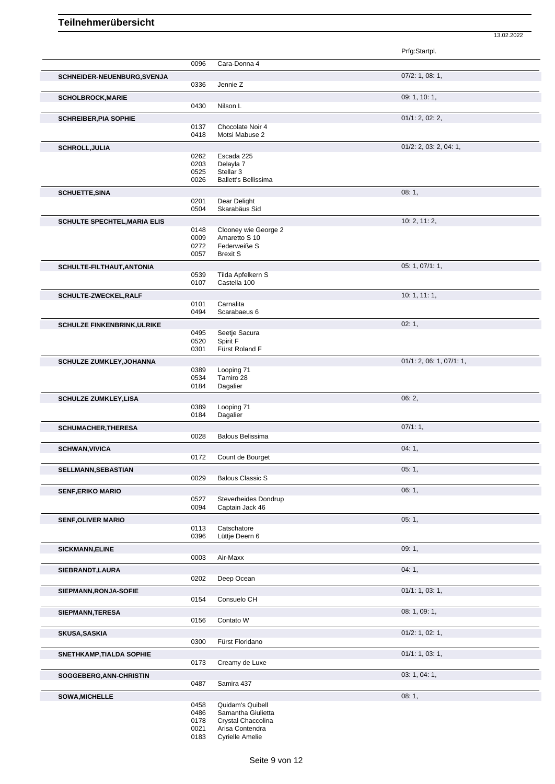13.02.2022

| 0096<br>Cara-Donna 4<br>$07/2$ : 1, 08: 1,<br>SCHNEIDER-NEUENBURG, SVENJA<br>0336<br>Jennie Z<br>09: 1, 10: 1,<br>0430<br>Nilson L<br>01/1: 2, 02: 2,<br><b>SCHREIBER, PIA SOPHIE</b><br>0137<br>Chocolate Noir 4<br>0418<br>Motsi Mabuse 2<br>01/2: 2, 03: 2, 04: 1,<br><b>SCHROLL, JULIA</b><br>0262<br>Escada 225<br>0203<br>Delayla 7<br>0525<br>Stellar <sub>3</sub><br>0026<br><b>Ballett's Bellissima</b><br>08:1,<br>0201<br>Dear Delight<br>Skarabäus Sid<br>0504<br>10: 2, 11: 2,<br><b>SCHULTE SPECHTEL, MARIA ELIS</b><br>0148<br>Clooney wie George 2<br>0009<br>Amaretto S 10<br>0272<br>Federweiße S<br>0057<br><b>Brexit S</b><br>05: 1, 07/1: 1,<br>0539<br>Tilda Apfelkern S<br>0107<br>Castella 100<br>10:1, 11:1,<br>SCHULTE-ZWECKEL, RALF<br>Carnalita<br>0101<br>0494<br>Scarabaeus 6<br>02:1,<br><b>SCHULZE FINKENBRINK, ULRIKE</b><br>Seetje Sacura<br>0495<br>Spirit F<br>0520<br>0301<br>Fürst Roland F<br>01/1: 2, 06: 1, 07/1: 1,<br><b>SCHULZE ZUMKLEY, JOHANNA</b><br>0389<br>Looping 71<br>0534<br>Tamiro 28<br>Dagalier<br>0184<br>06:2,<br><b>SCHULZE ZUMKLEY,LISA</b><br>0389<br>Looping 71<br>0184<br>Dagalier<br>07/1:1,<br><b>SCHUMACHER, THERESA</b><br>0028<br><b>Balous Belissima</b><br>04:1,<br>0172<br>Count de Bourget<br>05:1,<br><b>SELLMANN, SEBASTIAN</b><br>0029<br><b>Balous Classic S</b><br>06:1,<br><b>SENF, ERIKO MARIO</b><br>0527<br>Steverheides Dondrup<br>0094<br>Captain Jack 46<br>05:1,<br><b>SENF, OLIVER MARIO</b><br>0113<br>Catschatore<br>0396<br>Lüttje Deern 6<br>09:1,<br><b>SICKMANN, ELINE</b><br>Air-Maxx<br>0003<br>04:1,<br>SIEBRANDT, LAURA<br>0202<br>Deep Ocean<br>01/1: 1, 03: 1,<br>SIEPMANN, RONJA-SOFIE<br>0154<br>Consuelo CH<br>08: 1, 09: 1,<br>SIEPMANN, TERESA<br>0156<br>Contato W<br>$01/2$ : 1, 02: 1,<br><b>SKUSA, SASKIA</b><br>0300<br>Fürst Floridano<br>01/1: 1, 03: 1,<br><b>SNETHKAMP, TIALDA SOPHIE</b><br>0173<br>Creamy de Luxe<br>03: 1, 04: 1,<br>SOGGEBERG, ANN-CHRISTIN<br>0487<br>Samira 437<br>08:1,<br><b>SOWA, MICHELLE</b><br>0458<br>Quidam's Quibell<br>0486<br>Samantha Giulietta<br>0178<br>Crystal Chaccolina<br>0021<br>Arisa Contendra |                           |      |                        | Prfg:Startpl. |
|------------------------------------------------------------------------------------------------------------------------------------------------------------------------------------------------------------------------------------------------------------------------------------------------------------------------------------------------------------------------------------------------------------------------------------------------------------------------------------------------------------------------------------------------------------------------------------------------------------------------------------------------------------------------------------------------------------------------------------------------------------------------------------------------------------------------------------------------------------------------------------------------------------------------------------------------------------------------------------------------------------------------------------------------------------------------------------------------------------------------------------------------------------------------------------------------------------------------------------------------------------------------------------------------------------------------------------------------------------------------------------------------------------------------------------------------------------------------------------------------------------------------------------------------------------------------------------------------------------------------------------------------------------------------------------------------------------------------------------------------------------------------------------------------------------------------------------------------------------------------------------------------------------------------------------------------------------------------------------------------------------------------------------------------------------------------------------------------------------------------------------------------------------|---------------------------|------|------------------------|---------------|
|                                                                                                                                                                                                                                                                                                                                                                                                                                                                                                                                                                                                                                                                                                                                                                                                                                                                                                                                                                                                                                                                                                                                                                                                                                                                                                                                                                                                                                                                                                                                                                                                                                                                                                                                                                                                                                                                                                                                                                                                                                                                                                                                                            |                           |      |                        |               |
|                                                                                                                                                                                                                                                                                                                                                                                                                                                                                                                                                                                                                                                                                                                                                                                                                                                                                                                                                                                                                                                                                                                                                                                                                                                                                                                                                                                                                                                                                                                                                                                                                                                                                                                                                                                                                                                                                                                                                                                                                                                                                                                                                            |                           |      |                        |               |
|                                                                                                                                                                                                                                                                                                                                                                                                                                                                                                                                                                                                                                                                                                                                                                                                                                                                                                                                                                                                                                                                                                                                                                                                                                                                                                                                                                                                                                                                                                                                                                                                                                                                                                                                                                                                                                                                                                                                                                                                                                                                                                                                                            |                           |      |                        |               |
|                                                                                                                                                                                                                                                                                                                                                                                                                                                                                                                                                                                                                                                                                                                                                                                                                                                                                                                                                                                                                                                                                                                                                                                                                                                                                                                                                                                                                                                                                                                                                                                                                                                                                                                                                                                                                                                                                                                                                                                                                                                                                                                                                            | <b>SCHOLBROCK, MARIE</b>  |      |                        |               |
|                                                                                                                                                                                                                                                                                                                                                                                                                                                                                                                                                                                                                                                                                                                                                                                                                                                                                                                                                                                                                                                                                                                                                                                                                                                                                                                                                                                                                                                                                                                                                                                                                                                                                                                                                                                                                                                                                                                                                                                                                                                                                                                                                            |                           |      |                        |               |
|                                                                                                                                                                                                                                                                                                                                                                                                                                                                                                                                                                                                                                                                                                                                                                                                                                                                                                                                                                                                                                                                                                                                                                                                                                                                                                                                                                                                                                                                                                                                                                                                                                                                                                                                                                                                                                                                                                                                                                                                                                                                                                                                                            |                           |      |                        |               |
|                                                                                                                                                                                                                                                                                                                                                                                                                                                                                                                                                                                                                                                                                                                                                                                                                                                                                                                                                                                                                                                                                                                                                                                                                                                                                                                                                                                                                                                                                                                                                                                                                                                                                                                                                                                                                                                                                                                                                                                                                                                                                                                                                            |                           |      |                        |               |
|                                                                                                                                                                                                                                                                                                                                                                                                                                                                                                                                                                                                                                                                                                                                                                                                                                                                                                                                                                                                                                                                                                                                                                                                                                                                                                                                                                                                                                                                                                                                                                                                                                                                                                                                                                                                                                                                                                                                                                                                                                                                                                                                                            |                           |      |                        |               |
|                                                                                                                                                                                                                                                                                                                                                                                                                                                                                                                                                                                                                                                                                                                                                                                                                                                                                                                                                                                                                                                                                                                                                                                                                                                                                                                                                                                                                                                                                                                                                                                                                                                                                                                                                                                                                                                                                                                                                                                                                                                                                                                                                            |                           |      |                        |               |
|                                                                                                                                                                                                                                                                                                                                                                                                                                                                                                                                                                                                                                                                                                                                                                                                                                                                                                                                                                                                                                                                                                                                                                                                                                                                                                                                                                                                                                                                                                                                                                                                                                                                                                                                                                                                                                                                                                                                                                                                                                                                                                                                                            |                           |      |                        |               |
|                                                                                                                                                                                                                                                                                                                                                                                                                                                                                                                                                                                                                                                                                                                                                                                                                                                                                                                                                                                                                                                                                                                                                                                                                                                                                                                                                                                                                                                                                                                                                                                                                                                                                                                                                                                                                                                                                                                                                                                                                                                                                                                                                            |                           |      |                        |               |
|                                                                                                                                                                                                                                                                                                                                                                                                                                                                                                                                                                                                                                                                                                                                                                                                                                                                                                                                                                                                                                                                                                                                                                                                                                                                                                                                                                                                                                                                                                                                                                                                                                                                                                                                                                                                                                                                                                                                                                                                                                                                                                                                                            |                           |      |                        |               |
|                                                                                                                                                                                                                                                                                                                                                                                                                                                                                                                                                                                                                                                                                                                                                                                                                                                                                                                                                                                                                                                                                                                                                                                                                                                                                                                                                                                                                                                                                                                                                                                                                                                                                                                                                                                                                                                                                                                                                                                                                                                                                                                                                            | <b>SCHUETTE, SINA</b>     |      |                        |               |
|                                                                                                                                                                                                                                                                                                                                                                                                                                                                                                                                                                                                                                                                                                                                                                                                                                                                                                                                                                                                                                                                                                                                                                                                                                                                                                                                                                                                                                                                                                                                                                                                                                                                                                                                                                                                                                                                                                                                                                                                                                                                                                                                                            |                           |      |                        |               |
|                                                                                                                                                                                                                                                                                                                                                                                                                                                                                                                                                                                                                                                                                                                                                                                                                                                                                                                                                                                                                                                                                                                                                                                                                                                                                                                                                                                                                                                                                                                                                                                                                                                                                                                                                                                                                                                                                                                                                                                                                                                                                                                                                            |                           |      |                        |               |
|                                                                                                                                                                                                                                                                                                                                                                                                                                                                                                                                                                                                                                                                                                                                                                                                                                                                                                                                                                                                                                                                                                                                                                                                                                                                                                                                                                                                                                                                                                                                                                                                                                                                                                                                                                                                                                                                                                                                                                                                                                                                                                                                                            |                           |      |                        |               |
|                                                                                                                                                                                                                                                                                                                                                                                                                                                                                                                                                                                                                                                                                                                                                                                                                                                                                                                                                                                                                                                                                                                                                                                                                                                                                                                                                                                                                                                                                                                                                                                                                                                                                                                                                                                                                                                                                                                                                                                                                                                                                                                                                            |                           |      |                        |               |
|                                                                                                                                                                                                                                                                                                                                                                                                                                                                                                                                                                                                                                                                                                                                                                                                                                                                                                                                                                                                                                                                                                                                                                                                                                                                                                                                                                                                                                                                                                                                                                                                                                                                                                                                                                                                                                                                                                                                                                                                                                                                                                                                                            |                           |      |                        |               |
|                                                                                                                                                                                                                                                                                                                                                                                                                                                                                                                                                                                                                                                                                                                                                                                                                                                                                                                                                                                                                                                                                                                                                                                                                                                                                                                                                                                                                                                                                                                                                                                                                                                                                                                                                                                                                                                                                                                                                                                                                                                                                                                                                            |                           |      |                        |               |
|                                                                                                                                                                                                                                                                                                                                                                                                                                                                                                                                                                                                                                                                                                                                                                                                                                                                                                                                                                                                                                                                                                                                                                                                                                                                                                                                                                                                                                                                                                                                                                                                                                                                                                                                                                                                                                                                                                                                                                                                                                                                                                                                                            | SCHULTE-FILTHAUT, ANTONIA |      |                        |               |
|                                                                                                                                                                                                                                                                                                                                                                                                                                                                                                                                                                                                                                                                                                                                                                                                                                                                                                                                                                                                                                                                                                                                                                                                                                                                                                                                                                                                                                                                                                                                                                                                                                                                                                                                                                                                                                                                                                                                                                                                                                                                                                                                                            |                           |      |                        |               |
|                                                                                                                                                                                                                                                                                                                                                                                                                                                                                                                                                                                                                                                                                                                                                                                                                                                                                                                                                                                                                                                                                                                                                                                                                                                                                                                                                                                                                                                                                                                                                                                                                                                                                                                                                                                                                                                                                                                                                                                                                                                                                                                                                            |                           |      |                        |               |
|                                                                                                                                                                                                                                                                                                                                                                                                                                                                                                                                                                                                                                                                                                                                                                                                                                                                                                                                                                                                                                                                                                                                                                                                                                                                                                                                                                                                                                                                                                                                                                                                                                                                                                                                                                                                                                                                                                                                                                                                                                                                                                                                                            |                           |      |                        |               |
|                                                                                                                                                                                                                                                                                                                                                                                                                                                                                                                                                                                                                                                                                                                                                                                                                                                                                                                                                                                                                                                                                                                                                                                                                                                                                                                                                                                                                                                                                                                                                                                                                                                                                                                                                                                                                                                                                                                                                                                                                                                                                                                                                            |                           |      |                        |               |
|                                                                                                                                                                                                                                                                                                                                                                                                                                                                                                                                                                                                                                                                                                                                                                                                                                                                                                                                                                                                                                                                                                                                                                                                                                                                                                                                                                                                                                                                                                                                                                                                                                                                                                                                                                                                                                                                                                                                                                                                                                                                                                                                                            |                           |      |                        |               |
|                                                                                                                                                                                                                                                                                                                                                                                                                                                                                                                                                                                                                                                                                                                                                                                                                                                                                                                                                                                                                                                                                                                                                                                                                                                                                                                                                                                                                                                                                                                                                                                                                                                                                                                                                                                                                                                                                                                                                                                                                                                                                                                                                            |                           |      |                        |               |
|                                                                                                                                                                                                                                                                                                                                                                                                                                                                                                                                                                                                                                                                                                                                                                                                                                                                                                                                                                                                                                                                                                                                                                                                                                                                                                                                                                                                                                                                                                                                                                                                                                                                                                                                                                                                                                                                                                                                                                                                                                                                                                                                                            |                           |      |                        |               |
|                                                                                                                                                                                                                                                                                                                                                                                                                                                                                                                                                                                                                                                                                                                                                                                                                                                                                                                                                                                                                                                                                                                                                                                                                                                                                                                                                                                                                                                                                                                                                                                                                                                                                                                                                                                                                                                                                                                                                                                                                                                                                                                                                            |                           |      |                        |               |
|                                                                                                                                                                                                                                                                                                                                                                                                                                                                                                                                                                                                                                                                                                                                                                                                                                                                                                                                                                                                                                                                                                                                                                                                                                                                                                                                                                                                                                                                                                                                                                                                                                                                                                                                                                                                                                                                                                                                                                                                                                                                                                                                                            |                           |      |                        |               |
|                                                                                                                                                                                                                                                                                                                                                                                                                                                                                                                                                                                                                                                                                                                                                                                                                                                                                                                                                                                                                                                                                                                                                                                                                                                                                                                                                                                                                                                                                                                                                                                                                                                                                                                                                                                                                                                                                                                                                                                                                                                                                                                                                            |                           |      |                        |               |
|                                                                                                                                                                                                                                                                                                                                                                                                                                                                                                                                                                                                                                                                                                                                                                                                                                                                                                                                                                                                                                                                                                                                                                                                                                                                                                                                                                                                                                                                                                                                                                                                                                                                                                                                                                                                                                                                                                                                                                                                                                                                                                                                                            |                           |      |                        |               |
|                                                                                                                                                                                                                                                                                                                                                                                                                                                                                                                                                                                                                                                                                                                                                                                                                                                                                                                                                                                                                                                                                                                                                                                                                                                                                                                                                                                                                                                                                                                                                                                                                                                                                                                                                                                                                                                                                                                                                                                                                                                                                                                                                            |                           |      |                        |               |
|                                                                                                                                                                                                                                                                                                                                                                                                                                                                                                                                                                                                                                                                                                                                                                                                                                                                                                                                                                                                                                                                                                                                                                                                                                                                                                                                                                                                                                                                                                                                                                                                                                                                                                                                                                                                                                                                                                                                                                                                                                                                                                                                                            |                           |      |                        |               |
|                                                                                                                                                                                                                                                                                                                                                                                                                                                                                                                                                                                                                                                                                                                                                                                                                                                                                                                                                                                                                                                                                                                                                                                                                                                                                                                                                                                                                                                                                                                                                                                                                                                                                                                                                                                                                                                                                                                                                                                                                                                                                                                                                            |                           |      |                        |               |
|                                                                                                                                                                                                                                                                                                                                                                                                                                                                                                                                                                                                                                                                                                                                                                                                                                                                                                                                                                                                                                                                                                                                                                                                                                                                                                                                                                                                                                                                                                                                                                                                                                                                                                                                                                                                                                                                                                                                                                                                                                                                                                                                                            |                           |      |                        |               |
|                                                                                                                                                                                                                                                                                                                                                                                                                                                                                                                                                                                                                                                                                                                                                                                                                                                                                                                                                                                                                                                                                                                                                                                                                                                                                                                                                                                                                                                                                                                                                                                                                                                                                                                                                                                                                                                                                                                                                                                                                                                                                                                                                            |                           |      |                        |               |
|                                                                                                                                                                                                                                                                                                                                                                                                                                                                                                                                                                                                                                                                                                                                                                                                                                                                                                                                                                                                                                                                                                                                                                                                                                                                                                                                                                                                                                                                                                                                                                                                                                                                                                                                                                                                                                                                                                                                                                                                                                                                                                                                                            | <b>SCHWAN, VIVICA</b>     |      |                        |               |
|                                                                                                                                                                                                                                                                                                                                                                                                                                                                                                                                                                                                                                                                                                                                                                                                                                                                                                                                                                                                                                                                                                                                                                                                                                                                                                                                                                                                                                                                                                                                                                                                                                                                                                                                                                                                                                                                                                                                                                                                                                                                                                                                                            |                           |      |                        |               |
|                                                                                                                                                                                                                                                                                                                                                                                                                                                                                                                                                                                                                                                                                                                                                                                                                                                                                                                                                                                                                                                                                                                                                                                                                                                                                                                                                                                                                                                                                                                                                                                                                                                                                                                                                                                                                                                                                                                                                                                                                                                                                                                                                            |                           |      |                        |               |
|                                                                                                                                                                                                                                                                                                                                                                                                                                                                                                                                                                                                                                                                                                                                                                                                                                                                                                                                                                                                                                                                                                                                                                                                                                                                                                                                                                                                                                                                                                                                                                                                                                                                                                                                                                                                                                                                                                                                                                                                                                                                                                                                                            |                           |      |                        |               |
|                                                                                                                                                                                                                                                                                                                                                                                                                                                                                                                                                                                                                                                                                                                                                                                                                                                                                                                                                                                                                                                                                                                                                                                                                                                                                                                                                                                                                                                                                                                                                                                                                                                                                                                                                                                                                                                                                                                                                                                                                                                                                                                                                            |                           |      |                        |               |
|                                                                                                                                                                                                                                                                                                                                                                                                                                                                                                                                                                                                                                                                                                                                                                                                                                                                                                                                                                                                                                                                                                                                                                                                                                                                                                                                                                                                                                                                                                                                                                                                                                                                                                                                                                                                                                                                                                                                                                                                                                                                                                                                                            |                           |      |                        |               |
|                                                                                                                                                                                                                                                                                                                                                                                                                                                                                                                                                                                                                                                                                                                                                                                                                                                                                                                                                                                                                                                                                                                                                                                                                                                                                                                                                                                                                                                                                                                                                                                                                                                                                                                                                                                                                                                                                                                                                                                                                                                                                                                                                            |                           |      |                        |               |
|                                                                                                                                                                                                                                                                                                                                                                                                                                                                                                                                                                                                                                                                                                                                                                                                                                                                                                                                                                                                                                                                                                                                                                                                                                                                                                                                                                                                                                                                                                                                                                                                                                                                                                                                                                                                                                                                                                                                                                                                                                                                                                                                                            |                           |      |                        |               |
|                                                                                                                                                                                                                                                                                                                                                                                                                                                                                                                                                                                                                                                                                                                                                                                                                                                                                                                                                                                                                                                                                                                                                                                                                                                                                                                                                                                                                                                                                                                                                                                                                                                                                                                                                                                                                                                                                                                                                                                                                                                                                                                                                            |                           |      |                        |               |
|                                                                                                                                                                                                                                                                                                                                                                                                                                                                                                                                                                                                                                                                                                                                                                                                                                                                                                                                                                                                                                                                                                                                                                                                                                                                                                                                                                                                                                                                                                                                                                                                                                                                                                                                                                                                                                                                                                                                                                                                                                                                                                                                                            |                           |      |                        |               |
|                                                                                                                                                                                                                                                                                                                                                                                                                                                                                                                                                                                                                                                                                                                                                                                                                                                                                                                                                                                                                                                                                                                                                                                                                                                                                                                                                                                                                                                                                                                                                                                                                                                                                                                                                                                                                                                                                                                                                                                                                                                                                                                                                            |                           |      |                        |               |
|                                                                                                                                                                                                                                                                                                                                                                                                                                                                                                                                                                                                                                                                                                                                                                                                                                                                                                                                                                                                                                                                                                                                                                                                                                                                                                                                                                                                                                                                                                                                                                                                                                                                                                                                                                                                                                                                                                                                                                                                                                                                                                                                                            |                           |      |                        |               |
|                                                                                                                                                                                                                                                                                                                                                                                                                                                                                                                                                                                                                                                                                                                                                                                                                                                                                                                                                                                                                                                                                                                                                                                                                                                                                                                                                                                                                                                                                                                                                                                                                                                                                                                                                                                                                                                                                                                                                                                                                                                                                                                                                            |                           |      |                        |               |
|                                                                                                                                                                                                                                                                                                                                                                                                                                                                                                                                                                                                                                                                                                                                                                                                                                                                                                                                                                                                                                                                                                                                                                                                                                                                                                                                                                                                                                                                                                                                                                                                                                                                                                                                                                                                                                                                                                                                                                                                                                                                                                                                                            |                           |      |                        |               |
|                                                                                                                                                                                                                                                                                                                                                                                                                                                                                                                                                                                                                                                                                                                                                                                                                                                                                                                                                                                                                                                                                                                                                                                                                                                                                                                                                                                                                                                                                                                                                                                                                                                                                                                                                                                                                                                                                                                                                                                                                                                                                                                                                            |                           |      |                        |               |
|                                                                                                                                                                                                                                                                                                                                                                                                                                                                                                                                                                                                                                                                                                                                                                                                                                                                                                                                                                                                                                                                                                                                                                                                                                                                                                                                                                                                                                                                                                                                                                                                                                                                                                                                                                                                                                                                                                                                                                                                                                                                                                                                                            |                           |      |                        |               |
|                                                                                                                                                                                                                                                                                                                                                                                                                                                                                                                                                                                                                                                                                                                                                                                                                                                                                                                                                                                                                                                                                                                                                                                                                                                                                                                                                                                                                                                                                                                                                                                                                                                                                                                                                                                                                                                                                                                                                                                                                                                                                                                                                            |                           |      |                        |               |
|                                                                                                                                                                                                                                                                                                                                                                                                                                                                                                                                                                                                                                                                                                                                                                                                                                                                                                                                                                                                                                                                                                                                                                                                                                                                                                                                                                                                                                                                                                                                                                                                                                                                                                                                                                                                                                                                                                                                                                                                                                                                                                                                                            |                           |      |                        |               |
|                                                                                                                                                                                                                                                                                                                                                                                                                                                                                                                                                                                                                                                                                                                                                                                                                                                                                                                                                                                                                                                                                                                                                                                                                                                                                                                                                                                                                                                                                                                                                                                                                                                                                                                                                                                                                                                                                                                                                                                                                                                                                                                                                            |                           |      |                        |               |
|                                                                                                                                                                                                                                                                                                                                                                                                                                                                                                                                                                                                                                                                                                                                                                                                                                                                                                                                                                                                                                                                                                                                                                                                                                                                                                                                                                                                                                                                                                                                                                                                                                                                                                                                                                                                                                                                                                                                                                                                                                                                                                                                                            |                           |      |                        |               |
|                                                                                                                                                                                                                                                                                                                                                                                                                                                                                                                                                                                                                                                                                                                                                                                                                                                                                                                                                                                                                                                                                                                                                                                                                                                                                                                                                                                                                                                                                                                                                                                                                                                                                                                                                                                                                                                                                                                                                                                                                                                                                                                                                            |                           |      |                        |               |
|                                                                                                                                                                                                                                                                                                                                                                                                                                                                                                                                                                                                                                                                                                                                                                                                                                                                                                                                                                                                                                                                                                                                                                                                                                                                                                                                                                                                                                                                                                                                                                                                                                                                                                                                                                                                                                                                                                                                                                                                                                                                                                                                                            |                           |      |                        |               |
|                                                                                                                                                                                                                                                                                                                                                                                                                                                                                                                                                                                                                                                                                                                                                                                                                                                                                                                                                                                                                                                                                                                                                                                                                                                                                                                                                                                                                                                                                                                                                                                                                                                                                                                                                                                                                                                                                                                                                                                                                                                                                                                                                            |                           |      |                        |               |
|                                                                                                                                                                                                                                                                                                                                                                                                                                                                                                                                                                                                                                                                                                                                                                                                                                                                                                                                                                                                                                                                                                                                                                                                                                                                                                                                                                                                                                                                                                                                                                                                                                                                                                                                                                                                                                                                                                                                                                                                                                                                                                                                                            |                           |      |                        |               |
|                                                                                                                                                                                                                                                                                                                                                                                                                                                                                                                                                                                                                                                                                                                                                                                                                                                                                                                                                                                                                                                                                                                                                                                                                                                                                                                                                                                                                                                                                                                                                                                                                                                                                                                                                                                                                                                                                                                                                                                                                                                                                                                                                            |                           |      |                        |               |
|                                                                                                                                                                                                                                                                                                                                                                                                                                                                                                                                                                                                                                                                                                                                                                                                                                                                                                                                                                                                                                                                                                                                                                                                                                                                                                                                                                                                                                                                                                                                                                                                                                                                                                                                                                                                                                                                                                                                                                                                                                                                                                                                                            |                           |      |                        |               |
|                                                                                                                                                                                                                                                                                                                                                                                                                                                                                                                                                                                                                                                                                                                                                                                                                                                                                                                                                                                                                                                                                                                                                                                                                                                                                                                                                                                                                                                                                                                                                                                                                                                                                                                                                                                                                                                                                                                                                                                                                                                                                                                                                            |                           |      |                        |               |
|                                                                                                                                                                                                                                                                                                                                                                                                                                                                                                                                                                                                                                                                                                                                                                                                                                                                                                                                                                                                                                                                                                                                                                                                                                                                                                                                                                                                                                                                                                                                                                                                                                                                                                                                                                                                                                                                                                                                                                                                                                                                                                                                                            |                           | 0183 | <b>Cyrielle Amelie</b> |               |

Seite 9 von 12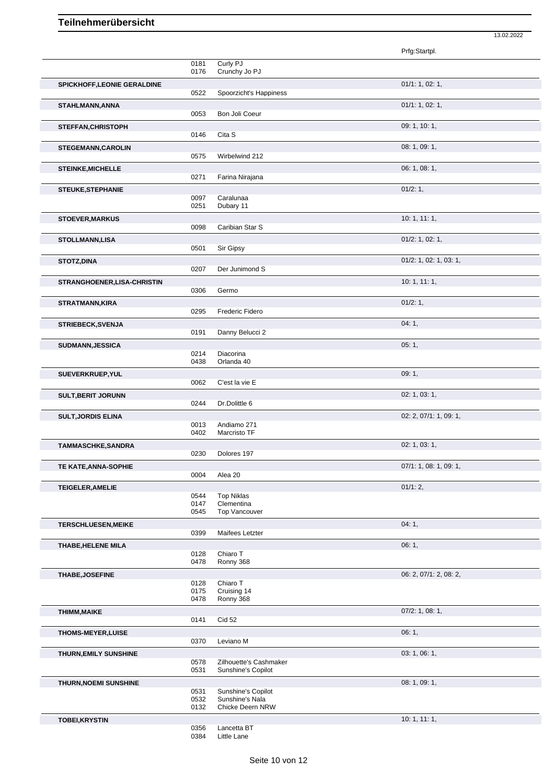|                              |              |                                              | 13.02.2022             |  |
|------------------------------|--------------|----------------------------------------------|------------------------|--|
|                              |              |                                              | Prfg:Startpl.          |  |
|                              | 0181<br>0176 | Curly PJ<br>Crunchy Jo PJ                    |                        |  |
| SPICKHOFF, LEONIE GERALDINE  |              |                                              | 01/1: 1, 02: 1,        |  |
|                              | 0522         | Spoorzicht's Happiness                       |                        |  |
| STAHLMANN, ANNA              | 0053         | Bon Joli Coeur                               | 01/1: 1, 02: 1,        |  |
| <b>STEFFAN, CHRISTOPH</b>    |              |                                              | 09: 1, 10: 1,          |  |
|                              | 0146         | Cita S                                       |                        |  |
| <b>STEGEMANN, CAROLIN</b>    | 0575         | Wirbelwind 212                               | 08: 1, 09: 1,          |  |
| <b>STEINKE, MICHELLE</b>     |              |                                              | 06: 1, 08: 1,          |  |
|                              | 0271         | Farina Nirajana                              | 01/2:1,                |  |
| <b>STEUKE, STEPHANIE</b>     | 0097         | Caralunaa                                    |                        |  |
|                              | 0251         | Dubary 11                                    | 10:1, 11:1,            |  |
| <b>STOEVER, MARKUS</b>       | 0098         | Caribian Star S                              |                        |  |
| <b>STOLLMANN,LISA</b>        | 0501         | Sir Gipsy                                    | $01/2$ : 1, 02: 1,     |  |
| <b>STOTZ, DINA</b>           |              |                                              | 01/2: 1, 02: 1, 03: 1, |  |
|                              | 0207         | Der Junimond S                               |                        |  |
| STRANGHOENER, LISA-CHRISTIN  | 0306         | Germo                                        | 10: 1, 11: 1,          |  |
| <b>STRATMANN, KIRA</b>       |              |                                              | 01/2:1,                |  |
|                              | 0295         | Frederic Fidero                              |                        |  |
| <b>STRIEBECK, SVENJA</b>     | 0191         | Danny Belucci 2                              | 04:1,                  |  |
| <b>SUDMANN, JESSICA</b>      |              |                                              | 05:1,                  |  |
|                              | 0214<br>0438 | Diacorina<br>Orlanda 40                      |                        |  |
| SUEVERKRUEP, YUL             |              |                                              | 09:1,                  |  |
|                              | 0062         | C'est la vie E                               |                        |  |
| <b>SULT, BERIT JORUNN</b>    | 0244         | Dr.Dolittle 6                                | 02: 1, 03: 1,          |  |
| <b>SULT, JORDIS ELINA</b>    |              |                                              | 02: 2, 07/1: 1, 09: 1, |  |
|                              | 0013<br>0402 | Andiamo 271<br>Marcristo TF                  |                        |  |
| <b>TAMMASCHKE, SANDRA</b>    |              |                                              | 02: 1, 03: 1,          |  |
| TE KATE, ANNA-SOPHIE         | 0230         | Dolores 197                                  | 07/1: 1, 08: 1, 09: 1, |  |
|                              | 0004         | Alea 20                                      |                        |  |
| <b>TEIGELER, AMELIE</b>      | 0544         | <b>Top Niklas</b>                            | 01/1:2,                |  |
|                              | 0147<br>0545 | Clementina<br>Top Vancouver                  |                        |  |
| <b>TERSCHLUESEN, MEIKE</b>   |              |                                              | 04:1,                  |  |
|                              | 0399         | Maifees Letzter                              |                        |  |
| THABE, HELENE MILA           | 0128         | Chiaro T                                     | 06:1,                  |  |
|                              | 0478         | Ronny 368                                    |                        |  |
| <b>THABE, JOSEFINE</b>       | 0128         | Chiaro T                                     | 06: 2, 07/1: 2, 08: 2, |  |
|                              | 0175<br>0478 | Cruising 14<br>Ronny 368                     |                        |  |
| <b>THIMM, MAIKE</b>          |              |                                              | $07/2$ : 1, 08: 1,     |  |
|                              | 0141         | <b>Cid 52</b>                                |                        |  |
| THOMS-MEYER, LUISE           | 0370         | Leviano M                                    | 06:1,                  |  |
| THURN, EMILY SUNSHINE        |              |                                              | 03: 1, 06: 1,          |  |
|                              | 0578<br>0531 | Zilhouette's Cashmaker<br>Sunshine's Copilot |                        |  |
| <b>THURN, NOEMI SUNSHINE</b> |              |                                              | 08: 1, 09: 1,          |  |
|                              | 0531<br>0532 | Sunshine's Copilot<br>Sunshine's Nala        |                        |  |
|                              | 0132         | <b>Chicke Deern NRW</b>                      |                        |  |
| <b>TOBEI, KRYSTIN</b>        | 0356         | Lancetta BT                                  | 10:1, 11:1,            |  |
|                              | 0384         | <b>Little Lane</b>                           |                        |  |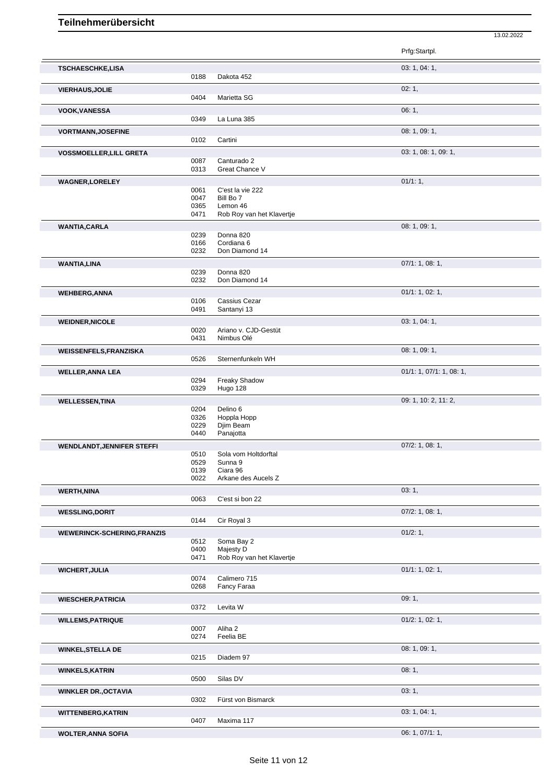13.02.2022

|                                    |                              |                                                                        | Prfg:Startpl.            |
|------------------------------------|------------------------------|------------------------------------------------------------------------|--------------------------|
| <b>TSCHAESCHKE,LISA</b>            | 0188                         | Dakota 452                                                             | 03: 1, 04: 1,            |
| <b>VIERHAUS, JOLIE</b>             | 0404                         | Marietta SG                                                            | 02:1,                    |
| <b>VOOK, VANESSA</b>               | 0349                         | La Luna 385                                                            | 06:1,                    |
| <b>VORTMANN, JOSEFINE</b>          | 0102                         | Cartini                                                                | 08: 1, 09: 1,            |
|                                    |                              |                                                                        | 03: 1, 08: 1, 09: 1,     |
| <b>VOSSMOELLER, LILL GRETA</b>     | 0087<br>0313                 | Canturado 2<br>Great Chance V                                          |                          |
| <b>WAGNER,LORELEY</b>              |                              |                                                                        | 01/1:1,                  |
|                                    | 0061<br>0047<br>0365<br>0471 | C'est la vie 222<br>Bill Bo 7<br>Lemon 46<br>Rob Roy van het Klavertje |                          |
| <b>WANTIA, CARLA</b>               | 0239<br>0166<br>0232         | Donna 820<br>Cordiana 6<br>Don Diamond 14                              | 08: 1, 09: 1,            |
| <b>WANTIA,LINA</b>                 |                              |                                                                        | 07/1: 1, 08: 1,          |
|                                    | 0239<br>0232                 | Donna 820<br>Don Diamond 14                                            |                          |
| <b>WEHBERG, ANNA</b>               |                              |                                                                        | 01/1: 1, 02: 1,          |
|                                    | 0106<br>0491                 | Cassius Cezar<br>Santanyi 13                                           |                          |
| <b>WEIDNER, NICOLE</b>             |                              |                                                                        | 03: 1, 04: 1,            |
|                                    | 0020<br>0431                 | Ariano v. CJD-Gestüt<br>Nimbus Olé                                     |                          |
| <b>WEISSENFELS, FRANZISKA</b>      | 0526                         | Sternenfunkeln WH                                                      | 08: 1, 09: 1,            |
| <b>WELLER, ANNA LEA</b>            | 0294<br>0329                 | Freaky Shadow<br>Hugo 128                                              | 01/1: 1, 07/1: 1, 08: 1, |
| <b>WELLESSEN, TINA</b>             | 0204<br>0326<br>0229<br>0440 | Delino 6<br>Hoppla Hopp<br>Djim Beam<br>Panajotta                      | 09: 1, 10: 2, 11: 2,     |
| <b>WENDLANDT, JENNIFER STEFFI</b>  |                              |                                                                        | $07/2$ : 1, 08: 1,       |
|                                    | 0510<br>0529<br>0139<br>0022 | Sola vom Holtdorftal<br>Sunna 9<br>Ciara 96<br>Arkane des Aucels Z     |                          |
| <b>WERTH, NINA</b>                 | 0063                         | C'est si bon 22                                                        | 03:1,                    |
| <b>WESSLING, DORIT</b>             |                              |                                                                        | $07/2$ : 1, 08: 1,       |
|                                    | 0144                         | Cir Royal 3                                                            |                          |
| <b>WEWERINCK-SCHERING, FRANZIS</b> | 0512<br>0400<br>0471         | Soma Bay 2<br>Majesty D<br>Rob Roy van het Klavertje                   | 01/2:1,                  |
| <b>WICHERT, JULIA</b>              |                              |                                                                        | 01/1: 1, 02: 1,          |
|                                    | 0074                         | Calimero 715                                                           |                          |
|                                    | 0268                         | Fancy Faraa                                                            |                          |
| <b>WIESCHER, PATRICIA</b>          | 0372                         | Levita W                                                               | 09:1,                    |
| <b>WILLEMS, PATRIQUE</b>           | 0007<br>0274                 | Aliha 2<br>Feelia BE                                                   | $01/2$ : 1, 02: 1,       |
| <b>WINKEL, STELLA DE</b>           | 0215                         | Diadem 97                                                              | 08: 1, 09: 1,            |
| <b>WINKELS, KATRIN</b>             |                              |                                                                        | 08:1,                    |
|                                    | 0500                         | Silas DV                                                               |                          |
| <b>WINKLER DR., OCTAVIA</b>        | 0302                         | Fürst von Bismarck                                                     | 03:1,                    |
| <b>WITTENBERG, KATRIN</b>          | 0407                         | Maxima 117                                                             | 03: 1, 04: 1,            |
| <b>WOLTER, ANNA SOFIA</b>          |                              |                                                                        | 06: 1, 07/1: 1,          |